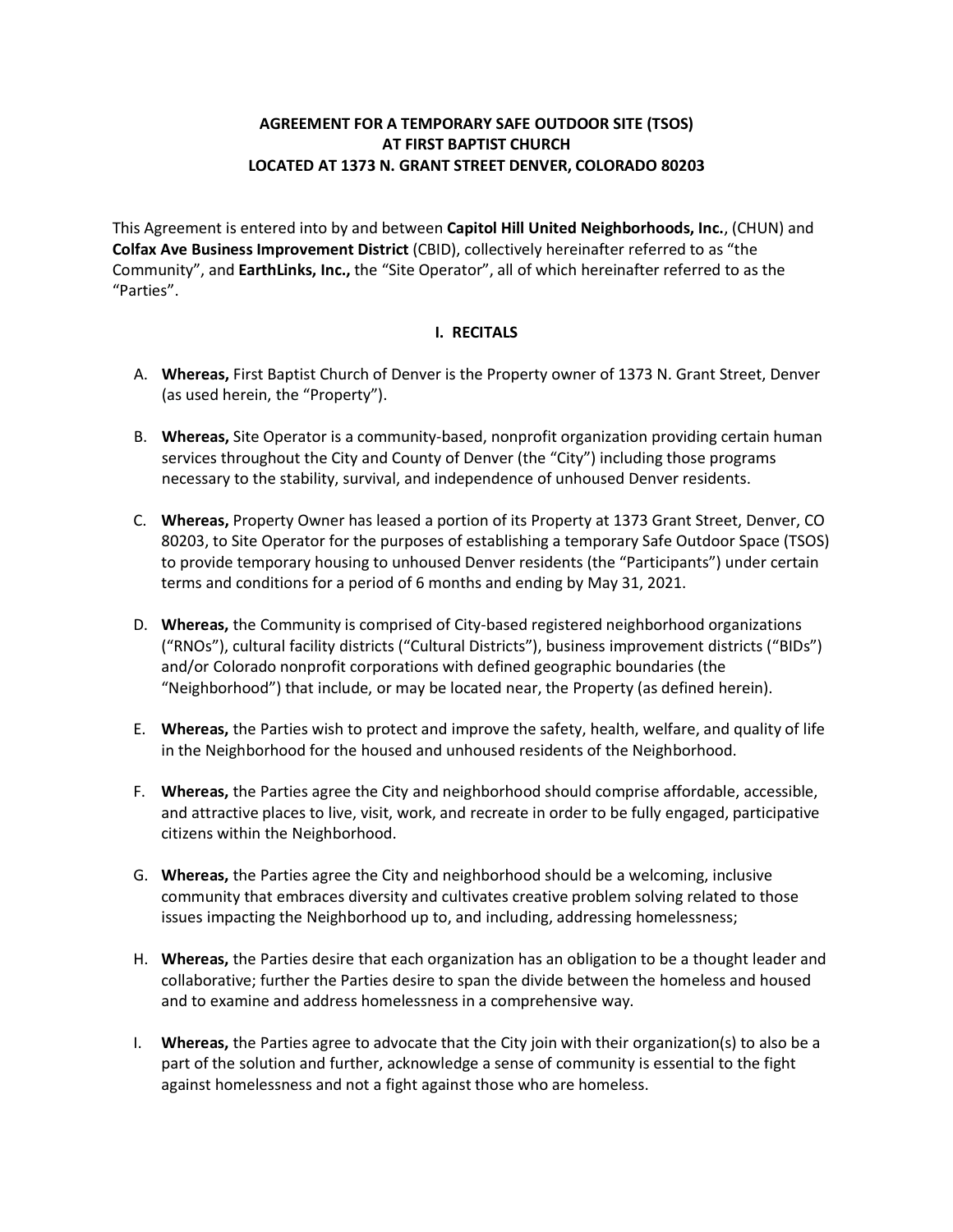# **AGREEMENT FOR A TEMPORARY SAFE OUTDOOR SITE (TSOS) AT FIRST BAPTIST CHURCH LOCATED AT 1373 N. GRANT STREET DENVER, COLORADO 80203**

This Agreement is entered into by and between **Capitol Hill United Neighborhoods, Inc.**, (CHUN) and **Colfax Ave Business Improvement District** (CBID), collectively hereinafter referred to as "the Community", and **EarthLinks, Inc.,** the "Site Operator", all of which hereinafter referred to as the "Parties".

### **I. RECITALS**

- A. **Whereas,** First Baptist Church of Denver is the Property owner of 1373 N. Grant Street, Denver (as used herein, the "Property").
- B. **Whereas,** Site Operator is a community-based, nonprofit organization providing certain human services throughout the City and County of Denver (the "City") including those programs necessary to the stability, survival, and independence of unhoused Denver residents.
- C. **Whereas,** Property Owner has leased a portion of its Property at 1373 Grant Street, Denver, CO 80203, to Site Operator for the purposes of establishing a temporary Safe Outdoor Space (TSOS) to provide temporary housing to unhoused Denver residents (the "Participants") under certain terms and conditions for a period of 6 months and ending by May 31, 2021.
- D. **Whereas,** the Community is comprised of City-based registered neighborhood organizations ("RNOs"), cultural facility districts ("Cultural Districts"), business improvement districts ("BIDs") and/or Colorado nonprofit corporations with defined geographic boundaries (the "Neighborhood") that include, or may be located near, the Property (as defined herein).
- E. **Whereas,** the Parties wish to protect and improve the safety, health, welfare, and quality of life in the Neighborhood for the housed and unhoused residents of the Neighborhood.
- F. **Whereas,** the Parties agree the City and neighborhood should comprise affordable, accessible, and attractive places to live, visit, work, and recreate in order to be fully engaged, participative citizens within the Neighborhood.
- G. **Whereas,** the Parties agree the City and neighborhood should be a welcoming, inclusive community that embraces diversity and cultivates creative problem solving related to those issues impacting the Neighborhood up to, and including, addressing homelessness;
- H. **Whereas,** the Parties desire that each organization has an obligation to be a thought leader and collaborative; further the Parties desire to span the divide between the homeless and housed and to examine and address homelessness in a comprehensive way.
- I. **Whereas,** the Parties agree to advocate that the City join with their organization(s) to also be a part of the solution and further, acknowledge a sense of community is essential to the fight against homelessness and not a fight against those who are homeless.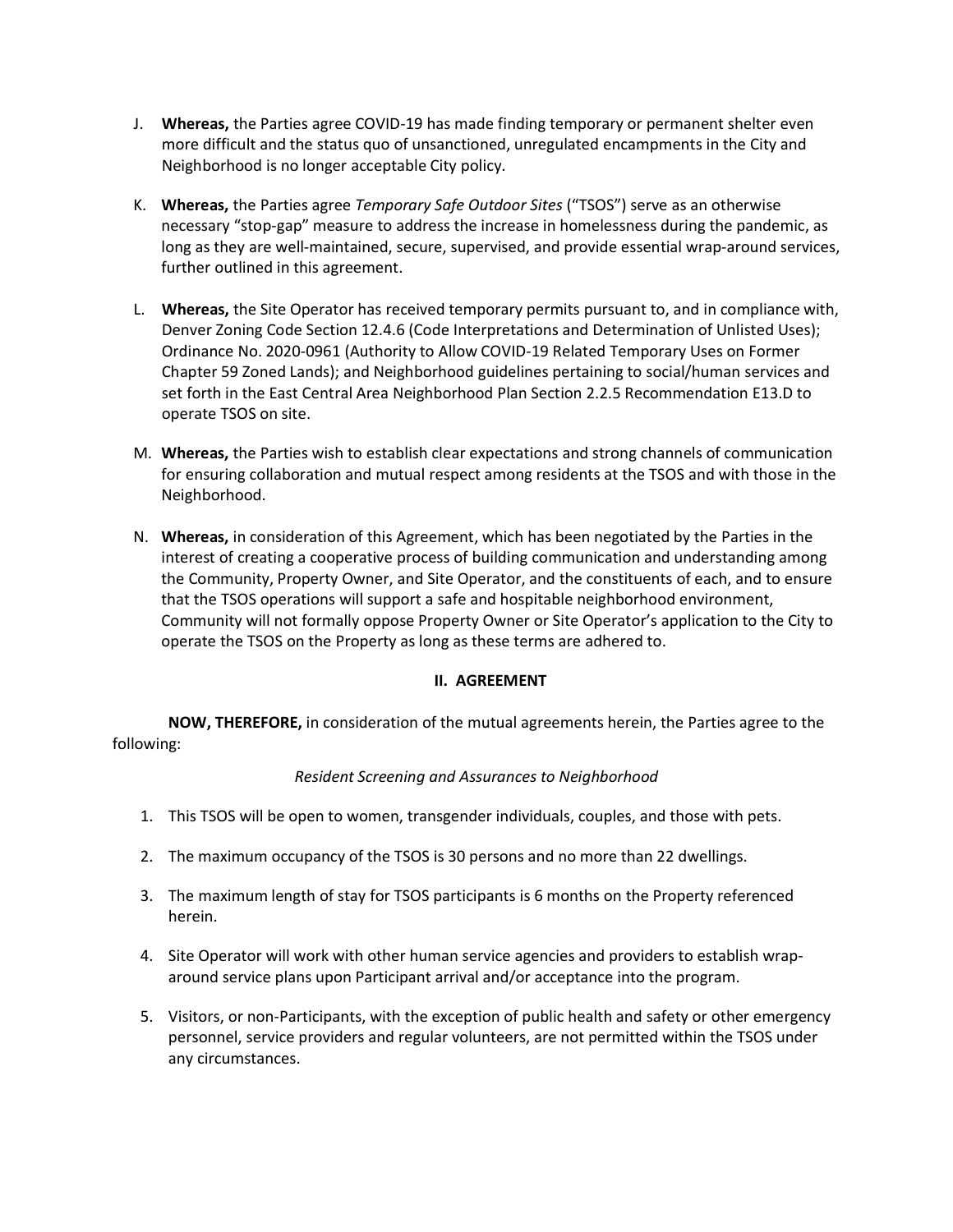- J. **Whereas,** the Parties agree COVID-19 has made finding temporary or permanent shelter even more difficult and the status quo of unsanctioned, unregulated encampments in the City and Neighborhood is no longer acceptable City policy.
- K. **Whereas,** the Parties agree *Temporary Safe Outdoor Sites* ("TSOS") serve as an otherwise necessary "stop-gap" measure to address the increase in homelessness during the pandemic, as long as they are well-maintained, secure, supervised, and provide essential wrap-around services, further outlined in this agreement.
- L. **Whereas,** the Site Operator has received temporary permits pursuant to, and in compliance with, Denver Zoning Code Section 12.4.6 (Code Interpretations and Determination of Unlisted Uses); Ordinance No. 2020-0961 (Authority to Allow COVID-19 Related Temporary Uses on Former Chapter 59 Zoned Lands); and Neighborhood guidelines pertaining to social/human services and set forth in the East Central Area Neighborhood Plan Section 2.2.5 Recommendation E13.D to operate TSOS on site.
- M. **Whereas,** the Parties wish to establish clear expectations and strong channels of communication for ensuring collaboration and mutual respect among residents at the TSOS and with those in the Neighborhood.
- N. **Whereas,** in consideration of this Agreement, which has been negotiated by the Parties in the interest of creating a cooperative process of building communication and understanding among the Community, Property Owner, and Site Operator, and the constituents of each, and to ensure that the TSOS operations will support a safe and hospitable neighborhood environment, Community will not formally oppose Property Owner or Site Operator's application to the City to operate the TSOS on the Property as long as these terms are adhered to.

### **II. AGREEMENT**

**NOW, THEREFORE,** in consideration of the mutual agreements herein, the Parties agree to the following:

#### *Resident Screening and Assurances to Neighborhood*

- 1. This TSOS will be open to women, transgender individuals, couples, and those with pets.
- 2. The maximum occupancy of the TSOS is 30 persons and no more than 22 dwellings.
- 3. The maximum length of stay for TSOS participants is 6 months on the Property referenced herein.
- 4. Site Operator will work with other human service agencies and providers to establish wraparound service plans upon Participant arrival and/or acceptance into the program.
- 5. Visitors, or non-Participants, with the exception of public health and safety or other emergency personnel, service providers and regular volunteers, are not permitted within the TSOS under any circumstances.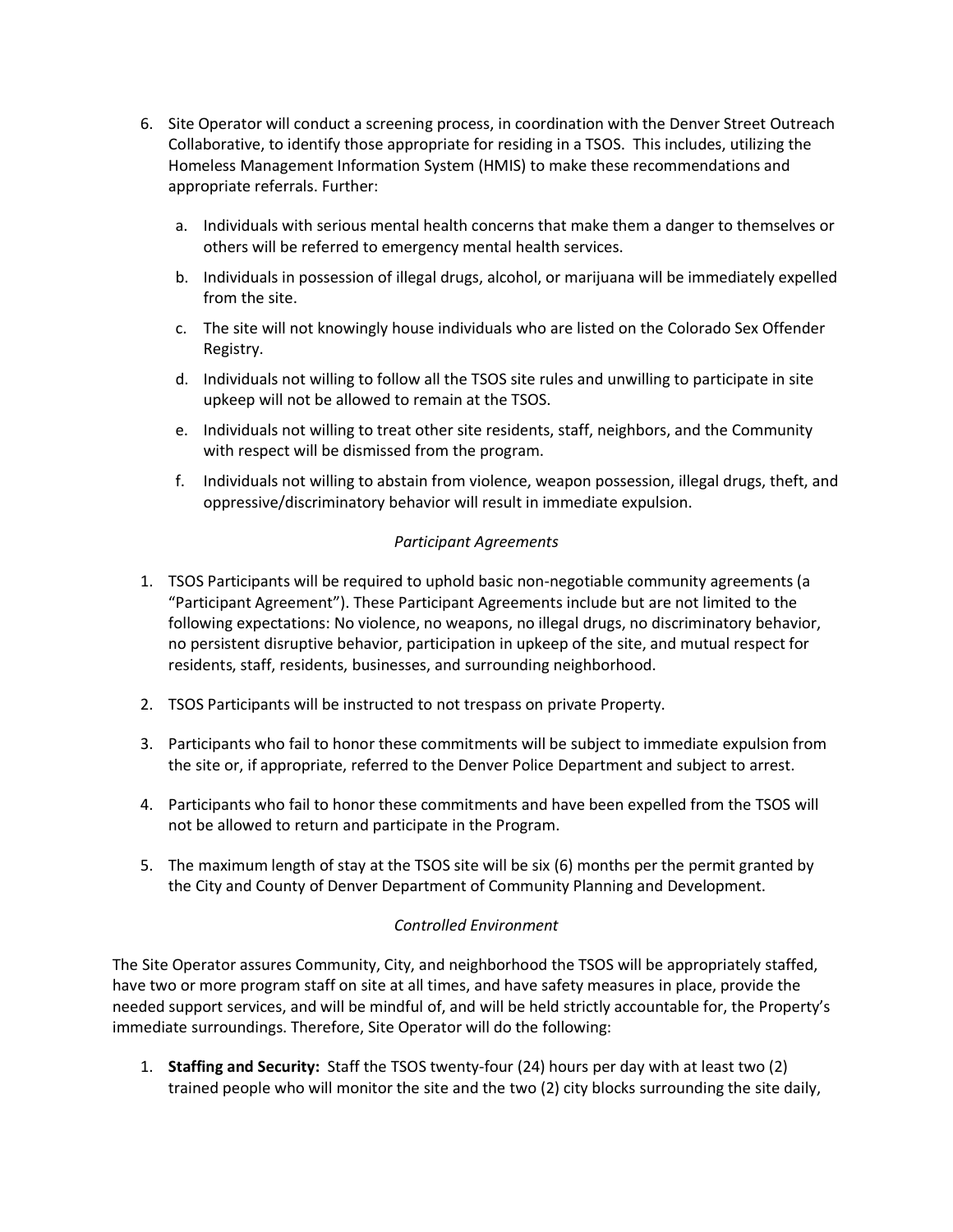- 6. Site Operator will conduct a screening process, in coordination with the Denver Street Outreach Collaborative, to identify those appropriate for residing in a TSOS. This includes, utilizing the Homeless Management Information System (HMIS) to make these recommendations and appropriate referrals. Further:
	- a. Individuals with serious mental health concerns that make them a danger to themselves or others will be referred to emergency mental health services.
	- b. Individuals in possession of illegal drugs, alcohol, or marijuana will be immediately expelled from the site.
	- c. The site will not knowingly house individuals who are listed on the Colorado Sex Offender Registry.
	- d. Individuals not willing to follow all the TSOS site rules and unwilling to participate in site upkeep will not be allowed to remain at the TSOS.
	- e. Individuals not willing to treat other site residents, staff, neighbors, and the Community with respect will be dismissed from the program.
	- f. Individuals not willing to abstain from violence, weapon possession, illegal drugs, theft, and oppressive/discriminatory behavior will result in immediate expulsion.

### *Participant Agreements*

- 1. TSOS Participants will be required to uphold basic non-negotiable community agreements (a "Participant Agreement"). These Participant Agreements include but are not limited to the following expectations: No violence, no weapons, no illegal drugs, no discriminatory behavior, no persistent disruptive behavior, participation in upkeep of the site, and mutual respect for residents, staff, residents, businesses, and surrounding neighborhood.
- 2. TSOS Participants will be instructed to not trespass on private Property.
- 3. Participants who fail to honor these commitments will be subject to immediate expulsion from the site or, if appropriate, referred to the Denver Police Department and subject to arrest.
- 4. Participants who fail to honor these commitments and have been expelled from the TSOS will not be allowed to return and participate in the Program.
- 5. The maximum length of stay at the TSOS site will be six (6) months per the permit granted by the City and County of Denver Department of Community Planning and Development.

### *Controlled Environment*

The Site Operator assures Community, City, and neighborhood the TSOS will be appropriately staffed, have two or more program staff on site at all times, and have safety measures in place, provide the needed support services, and will be mindful of, and will be held strictly accountable for, the Property's immediate surroundings. Therefore, Site Operator will do the following:

1. **Staffing and Security:** Staff the TSOS twenty-four (24) hours per day with at least two (2) trained people who will monitor the site and the two (2) city blocks surrounding the site daily,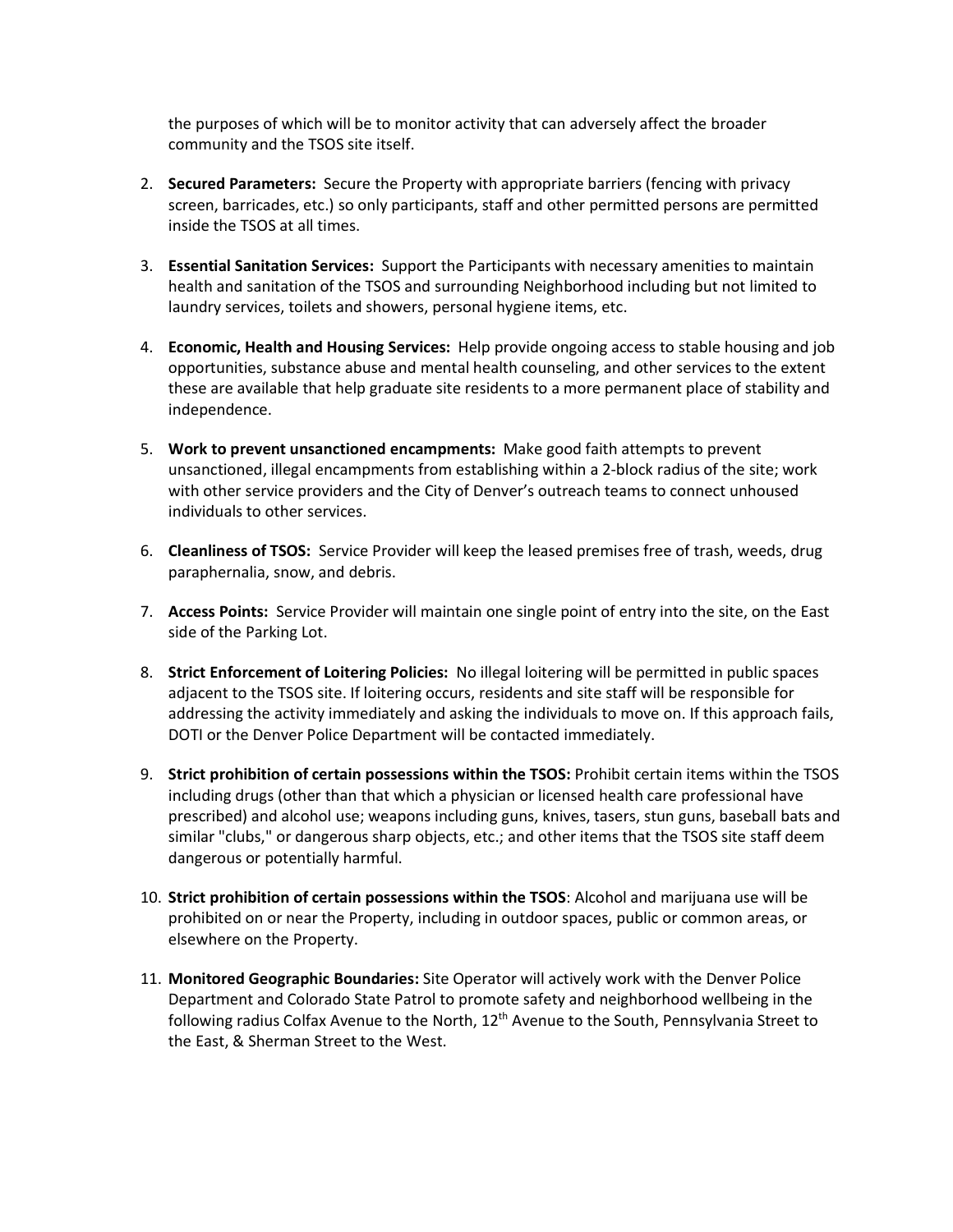the purposes of which will be to monitor activity that can adversely affect the broader community and the TSOS site itself.

- 2. **Secured Parameters:** Secure the Property with appropriate barriers (fencing with privacy screen, barricades, etc.) so only participants, staff and other permitted persons are permitted inside the TSOS at all times.
- 3. **Essential Sanitation Services:** Support the Participants with necessary amenities to maintain health and sanitation of the TSOS and surrounding Neighborhood including but not limited to laundry services, toilets and showers, personal hygiene items, etc.
- 4. **Economic, Health and Housing Services:**Help provide ongoing access to stable housing and job opportunities, substance abuse and mental health counseling, and other services to the extent these are available that help graduate site residents to a more permanent place of stability and independence.
- 5. **Work to prevent unsanctioned encampments:** Make good faith attempts to prevent unsanctioned, illegal encampments from establishing within a 2-block radius of the site; work with other service providers and the City of Denver's outreach teams to connect unhoused individuals to other services.
- 6. **Cleanliness of TSOS:** Service Provider will keep the leased premises free of trash, weeds, drug paraphernalia, snow, and debris.
- 7. **Access Points:** Service Provider will maintain one single point of entry into the site, on the East side of the Parking Lot.
- 8. **Strict Enforcement of Loitering Policies:** No illegal loitering will be permitted in public spaces adjacent to the TSOS site. If loitering occurs, residents and site staff will be responsible for addressing the activity immediately and asking the individuals to move on. If this approach fails, DOTI or the Denver Police Department will be contacted immediately.
- 9. **Strict prohibition of certain possessions within the TSOS:** Prohibit certain items within the TSOS including drugs (other than that which a physician or licensed health care professional have prescribed) and alcohol use; weapons including guns, knives, tasers, stun guns, baseball bats and similar "clubs," or dangerous sharp objects, etc.; and other items that the TSOS site staff deem dangerous or potentially harmful.
- 10. **Strict prohibition of certain possessions within the TSOS**: Alcohol and marijuana use will be prohibited on or near the Property, including in outdoor spaces, public or common areas, or elsewhere on the Property.
- 11. **Monitored Geographic Boundaries:** Site Operator will actively work with the Denver Police Department and Colorado State Patrol to promote safety and neighborhood wellbeing in the following radius Colfax Avenue to the North, 12<sup>th</sup> Avenue to the South, Pennsylvania Street to the East, & Sherman Street to the West.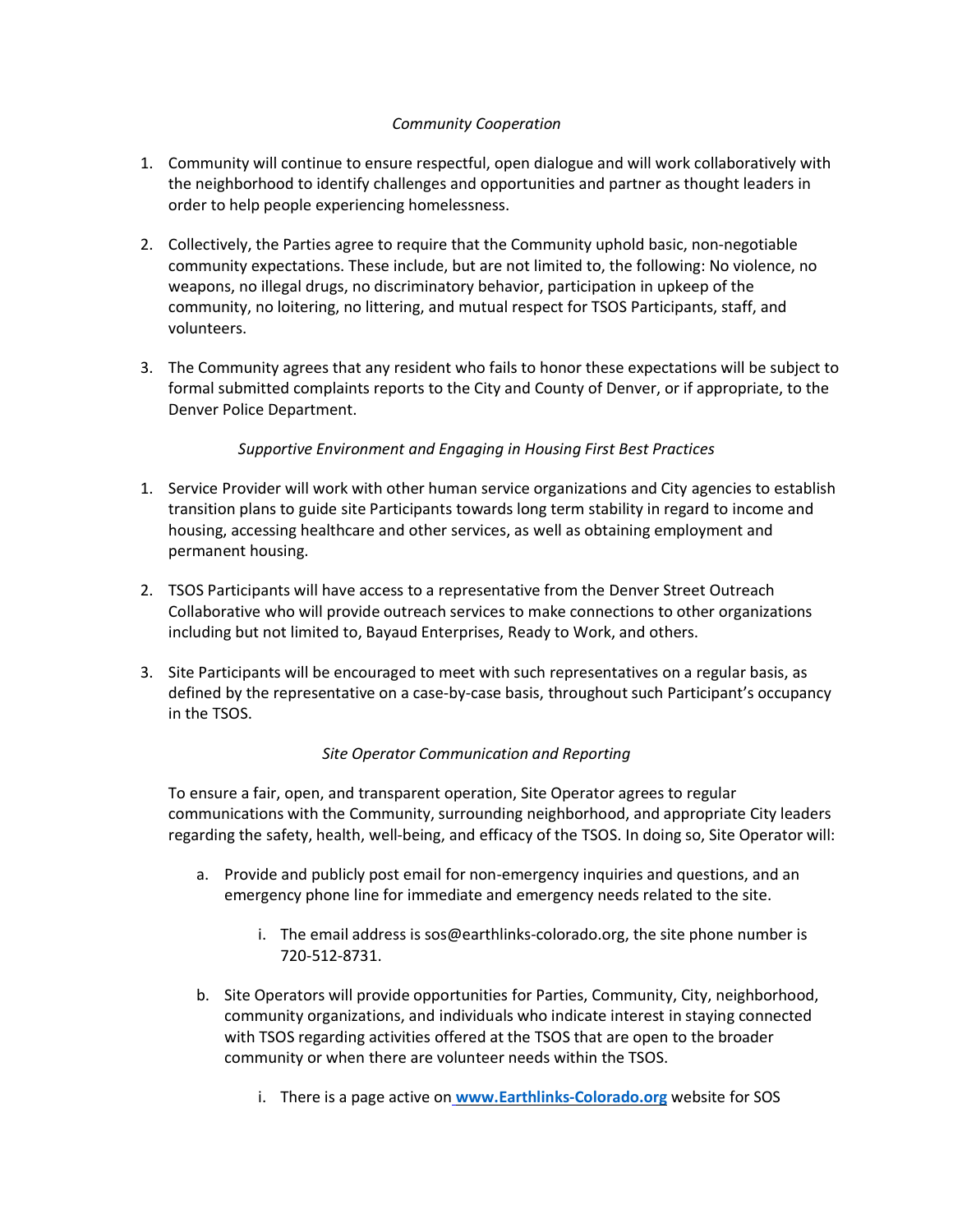# *Community Cooperation*

- 1. Community will continue to ensure respectful, open dialogue and will work collaboratively with the neighborhood to identify challenges and opportunities and partner as thought leaders in order to help people experiencing homelessness.
- 2. Collectively, the Parties agree to require that the Community uphold basic, non-negotiable community expectations. These include, but are not limited to, the following: No violence, no weapons, no illegal drugs, no discriminatory behavior, participation in upkeep of the community, no loitering, no littering, and mutual respect for TSOS Participants, staff, and volunteers.
- 3. The Community agrees that any resident who fails to honor these expectations will be subject to formal submitted complaints reports to the City and County of Denver, or if appropriate, to the Denver Police Department.

### *Supportive Environment and Engaging in Housing First Best Practices*

- 1. Service Provider will work with other human service organizations and City agencies to establish transition plans to guide site Participants towards long term stability in regard to income and housing, accessing healthcare and other services, as well as obtaining employment and permanent housing.
- 2. TSOS Participants will have access to a representative from the Denver Street Outreach Collaborative who will provide outreach services to make connections to other organizations including but not limited to, Bayaud Enterprises, Ready to Work, and others.
- 3. Site Participants will be encouraged to meet with such representatives on a regular basis, as defined by the representative on a case-by-case basis, throughout such Participant's occupancy in the TSOS.

# *Site Operator Communication and Reporting*

To ensure a fair, open, and transparent operation, Site Operator agrees to regular communications with the Community, surrounding neighborhood, and appropriate City leaders regarding the safety, health, well-being, and efficacy of the TSOS. In doing so, Site Operator will:

- a. Provide and publicly post email for non-emergency inquiries and questions, and an emergency phone line for immediate and emergency needs related to the site.
	- i. The email address is sos@earthlinks-colorado.org, the site phone number is 720-512-8731.
- b. Site Operators will provide opportunities for Parties, Community, City, neighborhood, community organizations, and individuals who indicate interest in staying connected with TSOS regarding activities offered at the TSOS that are open to the broader community or when there are volunteer needs within the TSOS.
	- i. There is a page active on **www.Earthlinks-Colorado.org** website for SOS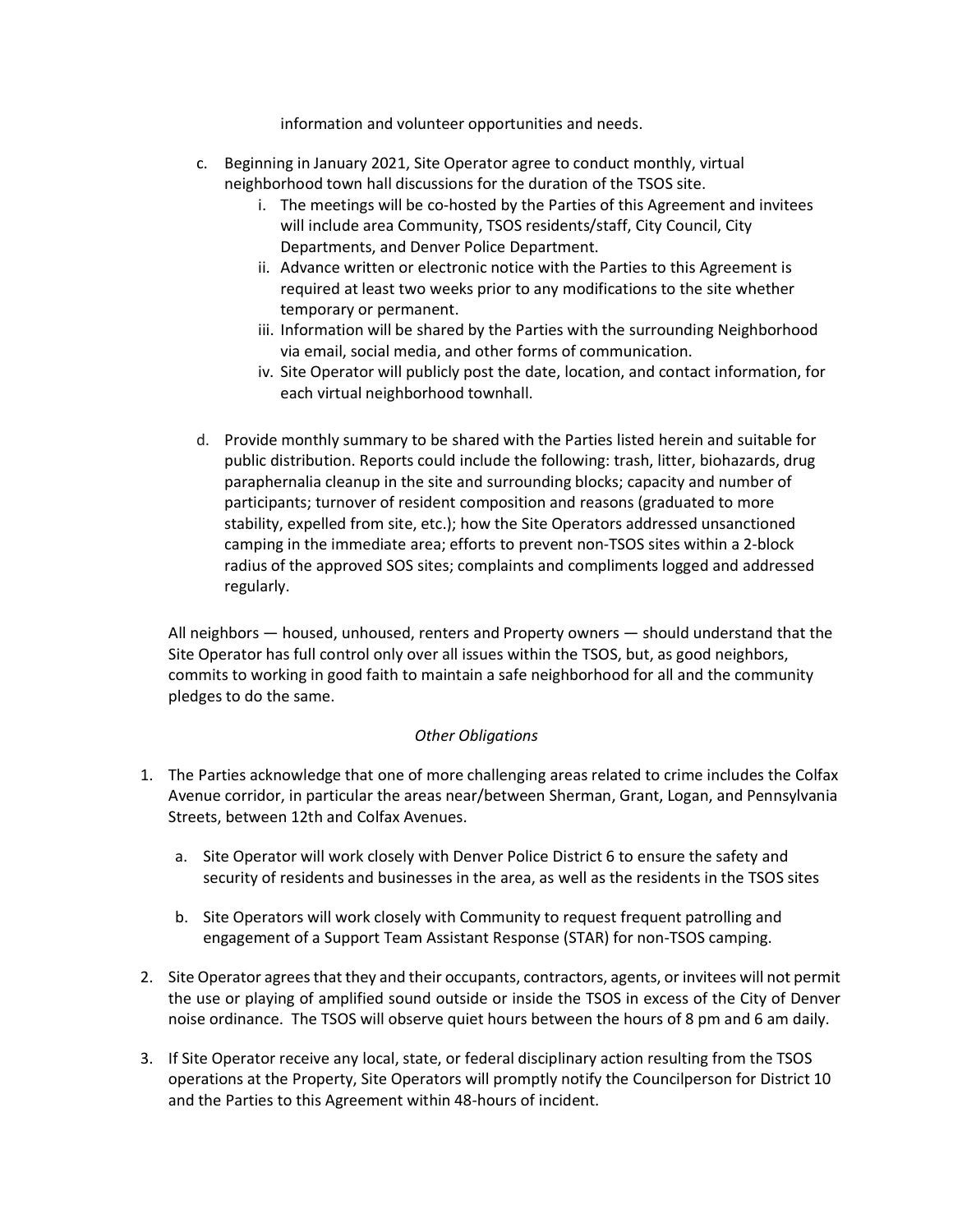information and volunteer opportunities and needs.

- c. Beginning in January 2021, Site Operator agree to conduct monthly, virtual neighborhood town hall discussions for the duration of the TSOS site.
	- i. The meetings will be co-hosted by the Parties of this Agreement and invitees will include area Community, TSOS residents/staff, City Council, City Departments, and Denver Police Department.
	- ii. Advance written or electronic notice with the Parties to this Agreement is required at least two weeks prior to any modifications to the site whether temporary or permanent.
	- iii. Information will be shared by the Parties with the surrounding Neighborhood via email, social media, and other forms of communication.
	- iv. Site Operator will publicly post the date, location, and contact information, for each virtual neighborhood townhall.
- d. Provide monthly summary to be shared with the Parties listed herein and suitable for public distribution. Reports could include the following: trash, litter, biohazards, drug paraphernalia cleanup in the site and surrounding blocks; capacity and number of participants; turnover of resident composition and reasons (graduated to more stability, expelled from site, etc.); how the Site Operators addressed unsanctioned camping in the immediate area; efforts to prevent non-TSOS sites within a 2-block radius of the approved SOS sites; complaints and compliments logged and addressed regularly.

All neighbors — housed, unhoused, renters and Property owners — should understand that the Site Operator has full control only over all issues within the TSOS, but, as good neighbors, commits to working in good faith to maintain a safe neighborhood for all and the community pledges to do the same.

### *Other Obligations*

- 1. The Parties acknowledge that one of more challenging areas related to crime includes the Colfax Avenue corridor, in particular the areas near/between Sherman, Grant, Logan, and Pennsylvania Streets, between 12th and Colfax Avenues.
	- a. Site Operator will work closely with Denver Police District 6 to ensure the safety and security of residents and businesses in the area, as well as the residents in the TSOS sites
	- b. Site Operators will work closely with Community to request frequent patrolling and engagement of a Support Team Assistant Response (STAR) for non-TSOS camping.
- 2. Site Operator agreesthat they and their occupants, contractors, agents, or invitees will not permit the use or playing of amplified sound outside or inside the TSOS in excess of the City of Denver noise ordinance. The TSOS will observe quiet hours between the hours of 8 pm and 6 am daily.
- 3. If Site Operator receive any local, state, or federal disciplinary action resulting from the TSOS operations at the Property, Site Operators will promptly notify the Councilperson for District 10 and the Parties to this Agreement within 48-hours of incident.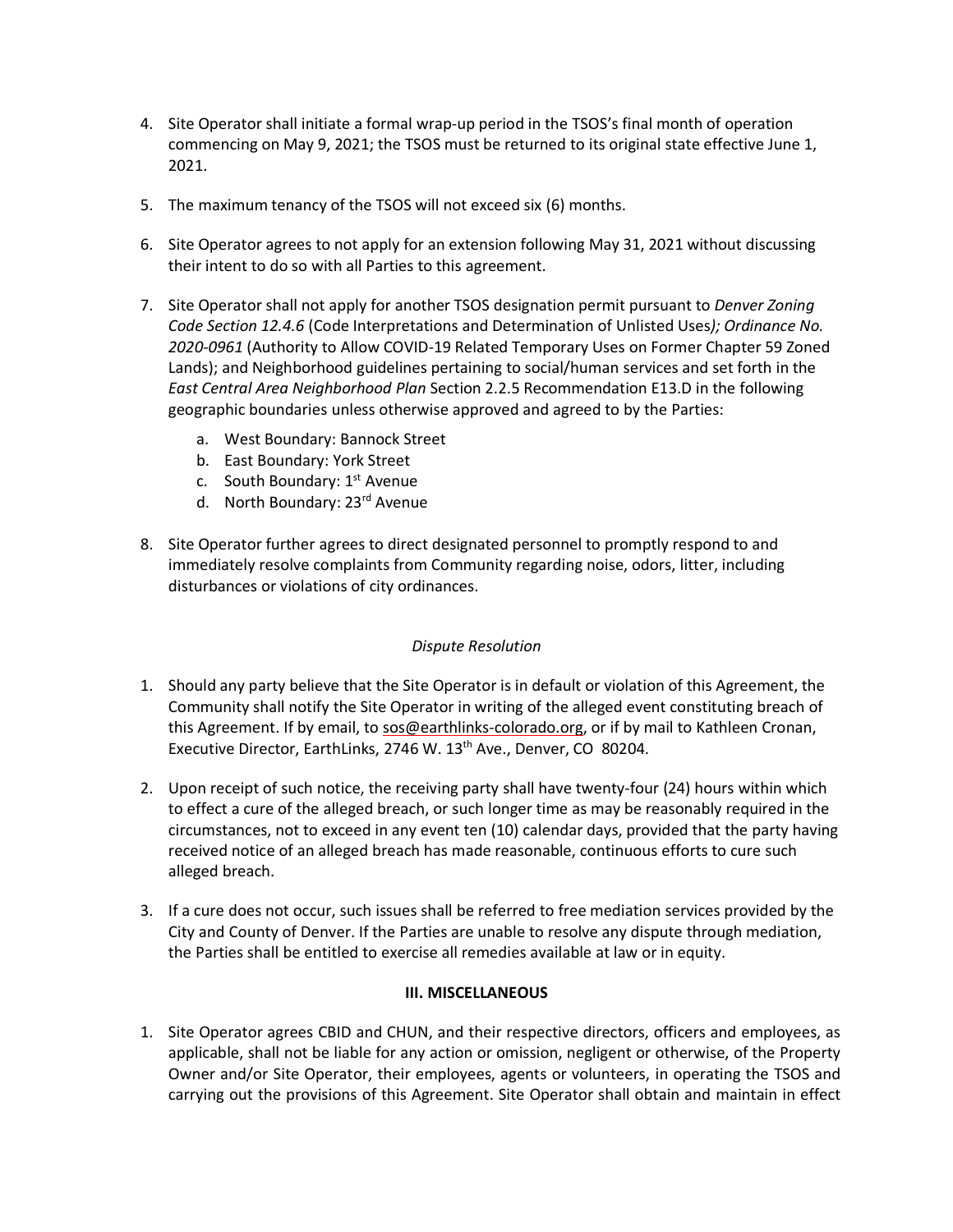- 4. Site Operator shall initiate a formal wrap-up period in the TSOS's final month of operation commencing on May 9, 2021; the TSOS must be returned to its original state effective June 1, 2021.
- 5. The maximum tenancy of the TSOS will not exceed six (6) months.
- 6. Site Operator agrees to not apply for an extension following May 31, 2021 without discussing their intent to do so with all Parties to this agreement.
- 7. Site Operator shall not apply for another TSOS designation permit pursuant to *Denver Zoning Code Section 12.4.6* (Code Interpretations and Determination of Unlisted Uses*); Ordinance No. 2020-0961* (Authority to Allow COVID-19 Related Temporary Uses on Former Chapter 59 Zoned Lands); and Neighborhood guidelines pertaining to social/human services and set forth in the *East Central Area Neighborhood Plan* Section 2.2.5 Recommendation E13.D in the following geographic boundaries unless otherwise approved and agreed to by the Parties:
	- a. West Boundary: Bannock Street
	- b. East Boundary: York Street
	- c. South Boundary:  $1<sup>st</sup>$  Avenue
	- d. North Boundary: 23<sup>rd</sup> Avenue
- 8. Site Operator further agrees to direct designated personnel to promptly respond to and immediately resolve complaints from Community regarding noise, odors, litter, including disturbances or violations of city ordinances.

### *Dispute Resolution*

- 1. Should any party believe that the Site Operator is in default or violation of this Agreement, the Community shall notify the Site Operator in writing of the alleged event constituting breach of this Agreement. If by email, to sos@earthlinks-colorado.org, or if by mail to Kathleen Cronan, Executive Director, EarthLinks, 2746 W. 13<sup>th</sup> Ave., Denver, CO 80204.
- 2. Upon receipt of such notice, the receiving party shall have twenty-four (24) hours within which to effect a cure of the alleged breach, or such longer time as may be reasonably required in the circumstances, not to exceed in any event ten (10) calendar days, provided that the party having received notice of an alleged breach has made reasonable, continuous efforts to cure such alleged breach.
- 3. If a cure does not occur, such issues shall be referred to free mediation services provided by the City and County of Denver. If the Parties are unable to resolve any dispute through mediation, the Parties shall be entitled to exercise all remedies available at law or in equity.

#### **III. MISCELLANEOUS**

1. Site Operator agrees CBID and CHUN, and their respective directors, officers and employees, as applicable, shall not be liable for any action or omission, negligent or otherwise, of the Property Owner and/or Site Operator, their employees, agents or volunteers, in operating the TSOS and carrying out the provisions of this Agreement. Site Operator shall obtain and maintain in effect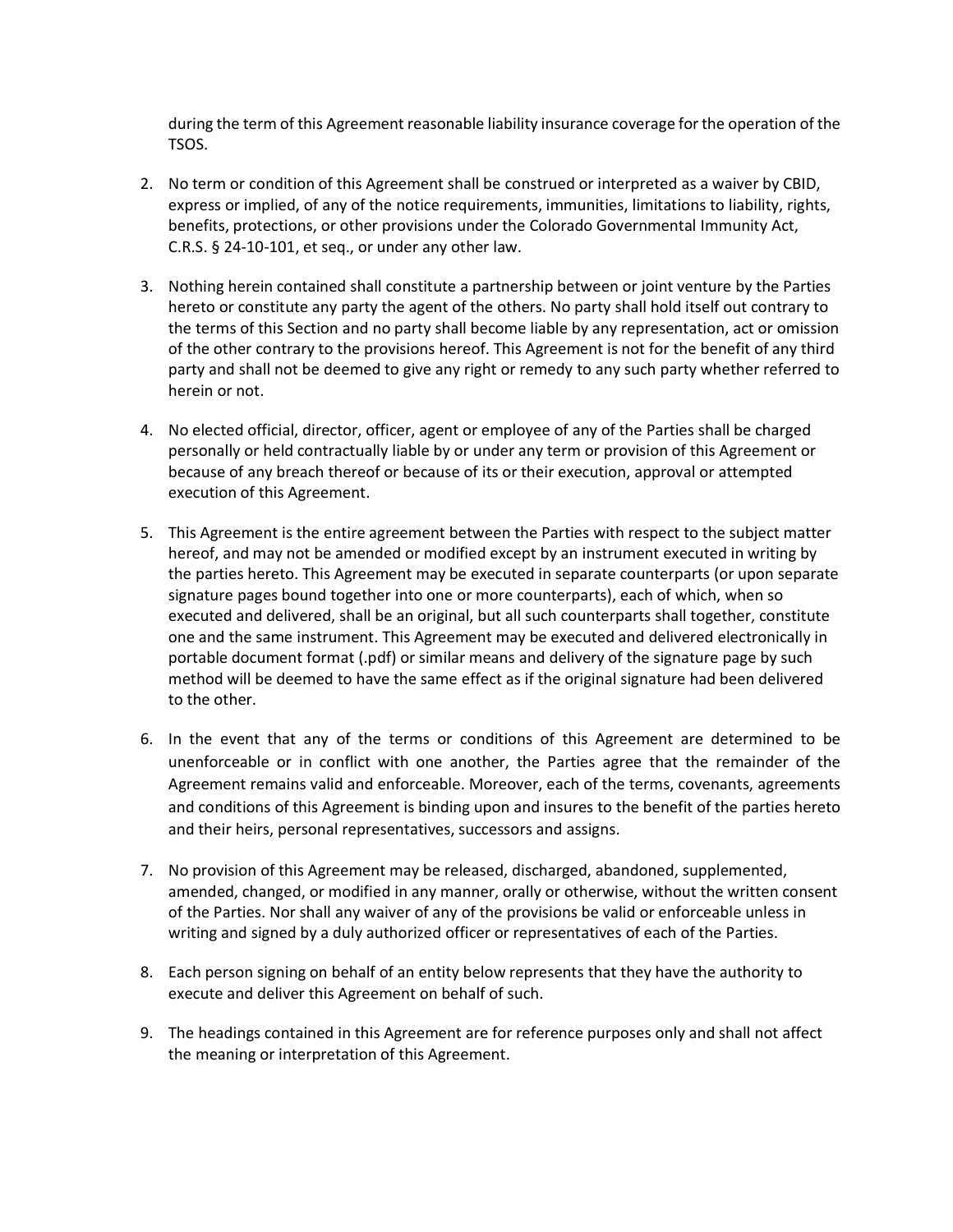during the term of this Agreement reasonable liability insurance coverage forthe operation of the TSOS.

- 2. No term or condition of this Agreement shall be construed or interpreted as a waiver by CBID, express or implied, of any of the notice requirements, immunities, limitations to liability, rights, benefits, protections, or other provisions under the Colorado Governmental Immunity Act, C.R.S. § 24-10-101, et seq., or under any other law.
- 3. Nothing herein contained shall constitute a partnership between or joint venture by the Parties hereto or constitute any party the agent of the others. No party shall hold itself out contrary to the terms of this Section and no party shall become liable by any representation, act or omission of the other contrary to the provisions hereof. This Agreement is not for the benefit of any third party and shall not be deemed to give any right or remedy to any such party whether referred to herein or not.
- 4. No elected official, director, officer, agent or employee of any of the Parties shall be charged personally or held contractually liable by or under any term or provision of this Agreement or because of any breach thereof or because of its or their execution, approval or attempted execution of this Agreement.
- 5. This Agreement is the entire agreement between the Parties with respect to the subject matter hereof, and may not be amended or modified except by an instrument executed in writing by the parties hereto. This Agreement may be executed in separate counterparts (or upon separate signature pages bound together into one or more counterparts), each of which, when so executed and delivered, shall be an original, but all such counterparts shall together, constitute one and the same instrument. This Agreement may be executed and delivered electronically in portable document format (.pdf) or similar means and delivery of the signature page by such method will be deemed to have the same effect as if the original signature had been delivered to the other.
- 6. In the event that any of the terms or conditions of this Agreement are determined to be unenforceable or in conflict with one another, the Parties agree that the remainder of the Agreement remains valid and enforceable. Moreover, each of the terms, covenants, agreements and conditions of this Agreement is binding upon and insures to the benefit of the parties hereto and their heirs, personal representatives, successors and assigns.
- 7. No provision of this Agreement may be released, discharged, abandoned, supplemented, amended, changed, or modified in any manner, orally or otherwise, without the written consent of the Parties. Nor shall any waiver of any of the provisions be valid or enforceable unless in writing and signed by a duly authorized officer or representatives of each of the Parties.
- 8. Each person signing on behalf of an entity below represents that they have the authority to execute and deliver this Agreement on behalf of such.
- 9. The headings contained in this Agreement are for reference purposes only and shall not affect the meaning or interpretation of this Agreement.